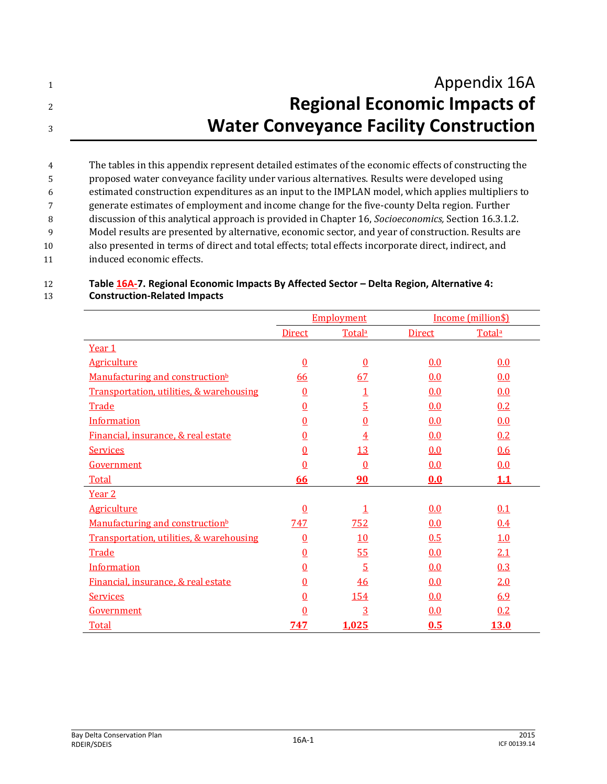1 **Appendix 16A** <sup>2</sup> **Regional Economic Impacts of**  <sup>3</sup> **Water Conveyance Facility Construction**

 The tables in this appendix represent detailed estimates of the economic effects of constructing the proposed water conveyance facility under various alternatives. Results were developed using estimated construction expenditures as an input to the IMPLAN model, which applies multipliers to generate estimates of employment and income change for the five-county Delta region. Further discussion of this analytical approach is provided in Chapter 16, *Socioeconomics,* Section 16.3.1.2. Model results are presented by alternative, economic sector, and year of construction. Results are also presented in terms of direct and total effects; total effects incorporate direct, indirect, and induced economic effects.

## 12 **Table 16A-7. Regional Economic Impacts By Affected Sector – Delta Region, Alternative 4:**  13 **Construction-Related Impacts**

|                                             | <b>Employment</b> |                    | Income (million\$) |             |
|---------------------------------------------|-------------------|--------------------|--------------------|-------------|
|                                             | <b>Direct</b>     | Total <sup>a</sup> | <b>Direct</b>      | Totala      |
| Year 1                                      |                   |                    |                    |             |
| <b>Agriculture</b>                          | $\underline{0}$   | $\underline{0}$    | 0.0                | 0.0         |
| Manufacturing and construction <sup>b</sup> | 66                | 67                 | 0.0                | 0.0         |
| Transportation, utilities, & warehousing    | $\overline{0}$    | $\overline{1}$     | 0.0                | 0.0         |
| Trade                                       | $\overline{0}$    | $\overline{5}$     | 0.0                | 0.2         |
| Information                                 | $\overline{0}$    | $\underline{0}$    | 0.0                | 0.0         |
| Financial, insurance, & real estate         | $\overline{0}$    | $\overline{4}$     | 0.0                | 0.2         |
| <b>Services</b>                             | $\overline{0}$    | 13                 | 0.0                | 0.6         |
| Government                                  | $\underline{0}$   | $\overline{0}$     | 0.0                | 0.0         |
| Total                                       | 66                | 90                 | 0.0                | 1.1         |
| Year <sub>2</sub>                           |                   |                    |                    |             |
| <b>Agriculture</b>                          | $\overline{0}$    |                    | 0.0                | 0.1         |
| Manufacturing and construction <sup>b</sup> | 747               | 752                | 0.0                | 0.4         |
| Transportation, utilities, & warehousing    | $\overline{0}$    | <u>10</u>          | 0.5                | 1.0         |
| Trade                                       | $\overline{0}$    | 55                 | 0.0                | 2.1         |
| Information                                 | $\underline{0}$   | $\overline{5}$     | 0.0                | 0.3         |
| Financial, insurance, & real estate         | $\overline{0}$    | 46                 | 0.0                | 2.0         |
| <b>Services</b>                             | $\overline{0}$    | 154                | 0.0                | 6.9         |
| Government                                  | 0                 | $\overline{3}$     | 0.0                | 0.2         |
| <b>Total</b>                                | <u>747</u>        | 1,025              | 0.5                | <b>13.0</b> |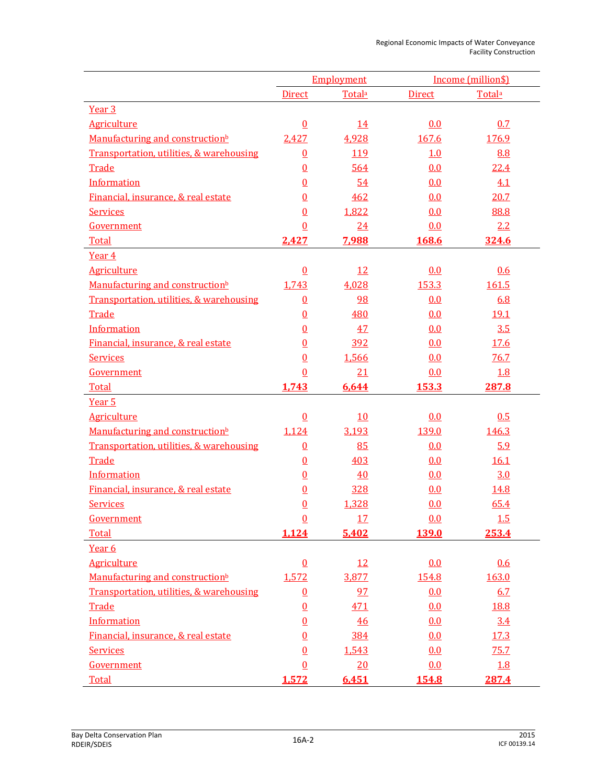|                                             | Employment      |            | Income (million\$) |             |
|---------------------------------------------|-----------------|------------|--------------------|-------------|
|                                             | <b>Direct</b>   | Totala     | <b>Direct</b>      | Totala      |
| Year <sub>3</sub>                           |                 |            |                    |             |
| <b>Agriculture</b>                          | $\underline{0}$ | <u>14</u>  | 0.0                | 0.7         |
| Manufacturing and construction <sup>b</sup> | 2,427           | 4,928      | 167.6              | 176.9       |
| Transportation, utilities, & warehousing    | $\underline{0}$ | <u>119</u> | 1.0                | 8.8         |
| Trade                                       | $\underline{0}$ | 564        | 0.0                | 22.4        |
| Information                                 | $\underline{0}$ | 54         | 0.0                | 4.1         |
| Financial, insurance, & real estate         | $\overline{0}$  | 462        | 0.0                | 20.7        |
| <b>Services</b>                             | $\overline{0}$  | 1,822      | 0.0                | 88.8        |
| Government                                  | $\overline{0}$  | 24         | 0.0                | 2.2         |
| Total                                       | 2,427           | 7,988      | 168.6              | 324.6       |
| Year 4                                      |                 |            |                    |             |
| <b>Agriculture</b>                          | $\underline{0}$ | <u>12</u>  | 0.0                | 0.6         |
| Manufacturing and construction <sup>b</sup> | 1,743           | 4,028      | 153.3              | 161.5       |
| Transportation, utilities, & warehousing    | $\underline{0}$ | 98         | 0.0                | 6.8         |
| Trade                                       | $\underline{0}$ | 480        | 0.0                | <u>19.1</u> |
| Information                                 | $\underline{0}$ | 47         | 0.0                | 3.5         |
| Financial, insurance, & real estate         | $\underline{0}$ | 392        | 0.0                | 17.6        |
| <b>Services</b>                             | $\overline{0}$  | 1,566      | 0.0                | 76.7        |
| Government                                  | $\underline{0}$ | 21         | 0.0                | 1.8         |
| Total                                       | 1,743           | 6,644      | 153.3              | 287.8       |
| Year <sub>5</sub>                           |                 |            |                    |             |
| <b>Agriculture</b>                          | $\Omega$        | 10         | 0.0                | 0.5         |
| Manufacturing and construction <sup>b</sup> | 1,124           | 3,193      | 139.0              | 146.3       |
| Transportation, utilities, & warehousing    | $\underline{0}$ | 85         | 0.0                | 5.9         |
| Trade                                       | $\overline{0}$  | 403        | 0.0                | 16.1        |
| Information                                 | $\underline{0}$ | 40         | 0.0                | 3.0         |
| Financial, insurance, & real estate         | $\underline{0}$ | 328        | 0.0                | 14.8        |
| <b>Services</b>                             | $\overline{0}$  | 1,328      | 0.0                | 65.4        |
| Government                                  | $\Omega$        | 17         | 0.0                | <u>1.5</u>  |
| Total                                       | 1,124           | 5,402      | <b>139.0</b>       | 253.4       |
| Year 6                                      |                 |            |                    |             |
| <b>Agriculture</b>                          | $\underline{0}$ | 12         | 0.0                | 0.6         |
| Manufacturing and construction <sup>b</sup> | 1,572           | 3,877      | 154.8              | 163.0       |
| Transportation, utilities, & warehousing    | $\underline{0}$ | 97         | 0.0                | 6.7         |
| Trade                                       | $\underline{0}$ | 471        | 0.0                | 18.8        |
| Information                                 | $\underline{0}$ | 46         | 0.0                | 3.4         |
| Financial, insurance, & real estate         | $\overline{0}$  | 384        | 0.0                | 17.3        |
| <b>Services</b>                             | $\overline{0}$  | 1,543      | 0.0                | 75.7        |
| Government                                  | $\underline{0}$ | 20         | 0.0                | 1.8         |
| <b>Total</b>                                | 1,572           | 6,451      | <b>154.8</b>       | 287.4       |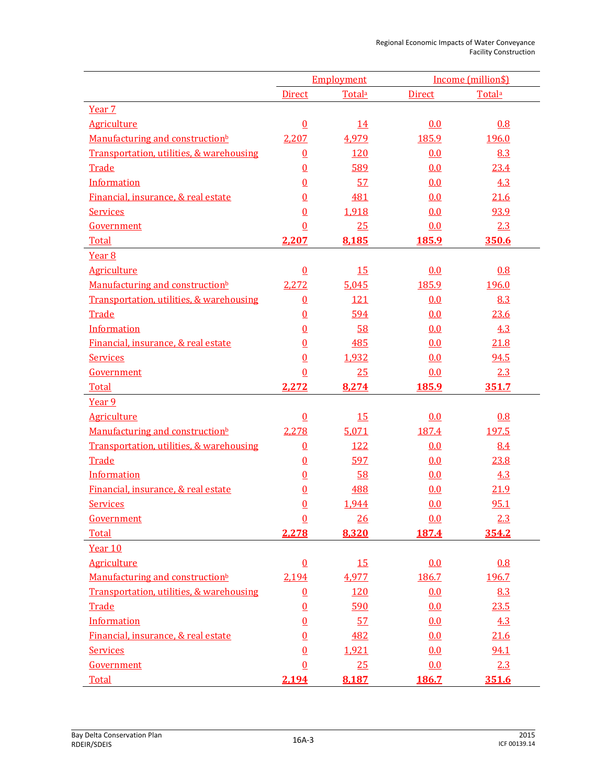|                                             | Employment      |                | Income (million\$) |              |
|---------------------------------------------|-----------------|----------------|--------------------|--------------|
|                                             | <b>Direct</b>   | Totala         | <b>Direct</b>      | Totala       |
| Year 7                                      |                 |                |                    |              |
| <b>Agriculture</b>                          | $\underline{0}$ | <u>14</u>      | 0.0                | 0.8          |
| Manufacturing and construction <sup>b</sup> | 2,207           | 4,979          | 185.9              | <u>196.0</u> |
| Transportation, utilities, & warehousing    | $\overline{0}$  | <u>120</u>     | 0.0                | 8.3          |
| Trade                                       | $\overline{0}$  | 589            | 0.0                | 23.4         |
| Information                                 | $\overline{0}$  | 57             | 0.0                | 4.3          |
| Financial, insurance, & real estate         | $\overline{0}$  | 481            | 0.0                | 21.6         |
| <b>Services</b>                             | $\overline{0}$  | 1,918          | 0.0                | 93.9         |
| Government                                  | $\overline{0}$  | 25             | 0.0                | 2.3          |
| Total                                       | 2,207           | 8,185          | <b>185.9</b>       | 350.6        |
| Year <sub>8</sub>                           |                 |                |                    |              |
| <b>Agriculture</b>                          | $\overline{0}$  | 15             | 0.0                | 0.8          |
| Manufacturing and construction <sup>b</sup> | 2,272           | 5,045          | 185.9              | 196.0        |
| Transportation, utilities, & warehousing    | $\underline{0}$ | 121            | 0.0                | 8.3          |
| Trade                                       | $\overline{0}$  | 594            | 0.0                | 23.6         |
| <b>Information</b>                          | $\overline{0}$  | 58             | 0.0                | 4.3          |
| Financial, insurance, & real estate         | $\overline{0}$  | 485            | 0.0                | 21.8         |
| <b>Services</b>                             | $\overline{0}$  | 1,932          | 0.0                | 94.5         |
| Government                                  | $\overline{0}$  | 25             | 0.0                | 2.3          |
| Total                                       | 2,272           | 8,274          | 185.9              | 351.7        |
| Year 9                                      |                 |                |                    |              |
| <b>Agriculture</b>                          | $\overline{0}$  | <u>15</u>      | 0.0                | 0.8          |
| Manufacturing and construction <sup>b</sup> | 2,278           | 5,071          | 187.4              | 197.5        |
| Transportation, utilities, & warehousing    | $\overline{0}$  | <u>122</u>     | 0.0                | 8.4          |
| Trade                                       | $\underline{0}$ | 597            | 0.0                | 23.8         |
| Information                                 | $\overline{0}$  | 58             | 0.0                | 4.3          |
| Financial, insurance, & real estate         | $\overline{0}$  | 488            | 0.0                | 21.9         |
| <b>Services</b>                             | $\overline{0}$  | 1,944          | 0.0                | 95.1         |
| Government                                  | <u>0</u>        | $\frac{26}{5}$ | 0.0                | 2.3          |
| Total                                       | 2,278           | 8,320          | <b>187.4</b>       | 354.2        |
| Year 10                                     |                 |                |                    |              |
| <b>Agriculture</b>                          | $\underline{0}$ | <b>15</b>      | 0.0                | 0.8          |
| Manufacturing and construction <sup>b</sup> | 2,194           | 4,977          | 186.7              | 196.7        |
| Transportation, utilities, & warehousing    | $\underline{0}$ | 120            | 0.0                | 8.3          |
| Trade                                       | $\underline{0}$ | 590            | 0.0                | 23.5         |
| Information                                 | $\overline{0}$  | 57             | 0.0                | 4.3          |
| Financial, insurance, & real estate         | $\overline{0}$  | 482            | 0.0                | 21.6         |
| <b>Services</b>                             | $\overline{0}$  | 1,921          | 0.0                | 94.1         |
| Government                                  | $\underline{0}$ | 25             | 0.0                | 2.3          |
| <b>Total</b>                                | 2,194           | 8,187          | 186.7              | 351.6        |